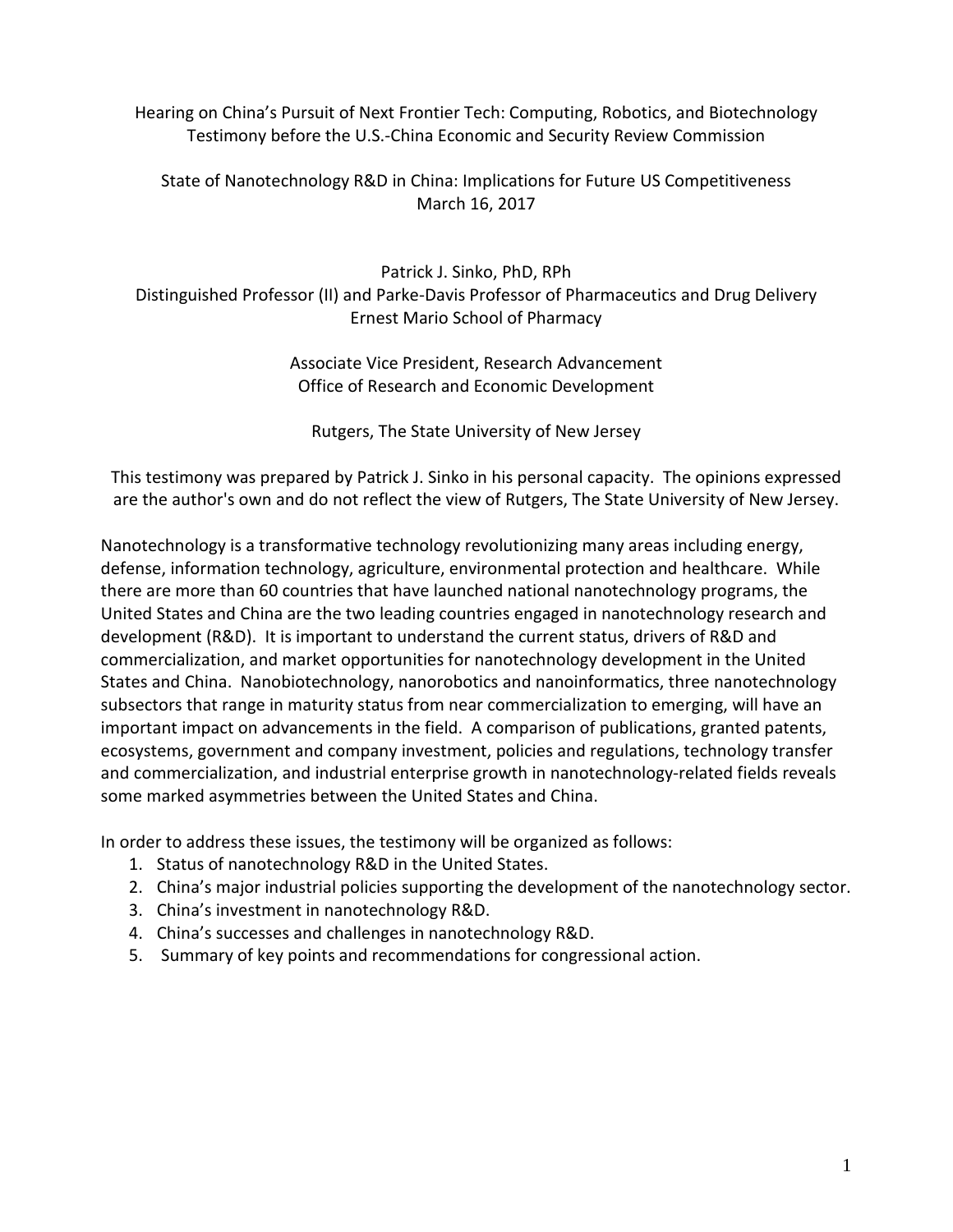Hearing on China's Pursuit of Next Frontier Tech: Computing, Robotics, and Biotechnology Testimony before the U.S.-China Economic and Security Review Commission

State of Nanotechnology R&D in China: Implications for Future US Competitiveness March 16, 2017

Patrick J. Sinko, PhD, RPh Distinguished Professor (II) and Parke-Davis Professor of Pharmaceutics and Drug Delivery Ernest Mario School of Pharmacy

> Associate Vice President, Research Advancement Office of Research and Economic Development

Rutgers, The State University of New Jersey

This testimony was prepared by Patrick J. Sinko in his personal capacity. The opinions expressed are the author's own and do not reflect the view of Rutgers, The State University of New Jersey.

Nanotechnology is a transformative technology revolutionizing many areas including energy, defense, information technology, agriculture, environmental protection and healthcare. While there are more than 60 countries that have launched national nanotechnology programs, the United States and China are the two leading countries engaged in nanotechnology research and development (R&D). It is important to understand the current status, drivers of R&D and commercialization, and market opportunities for nanotechnology development in the United States and China. Nanobiotechnology, nanorobotics and nanoinformatics, three nanotechnology subsectors that range in maturity status from near commercialization to emerging, will have an important impact on advancements in the field. A comparison of publications, granted patents, ecosystems, government and company investment, policies and regulations, technology transfer and commercialization, and industrial enterprise growth in nanotechnology-related fields reveals some marked asymmetries between the United States and China.

In order to address these issues, the testimony will be organized as follows:

- 1. Status of nanotechnology R&D in the United States.
- 2. China's major industrial policies supporting the development of the nanotechnology sector.
- 3. China's investment in nanotechnology R&D.
- 4. China's successes and challenges in nanotechnology R&D.
- 5. Summary of key points and recommendations for congressional action.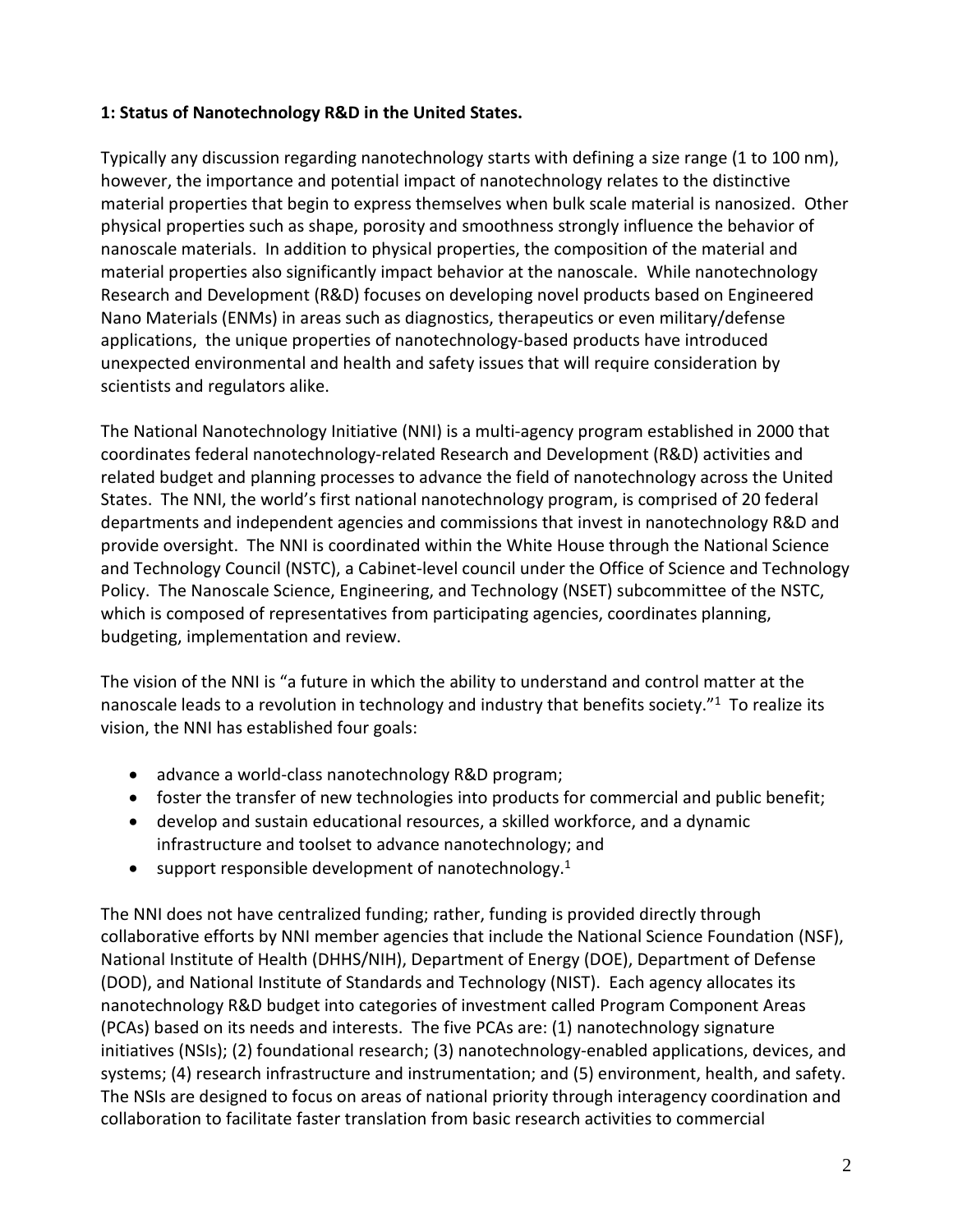# **1: Status of Nanotechnology R&D in the United States.**

Typically any discussion regarding nanotechnology starts with defining a size range (1 to 100 nm), however, the importance and potential impact of nanotechnology relates to the distinctive material properties that begin to express themselves when bulk scale material is nanosized. Other physical properties such as shape, porosity and smoothness strongly influence the behavior of nanoscale materials. In addition to physical properties, the composition of the material and material properties also significantly impact behavior at the nanoscale. While nanotechnology Research and Development (R&D) focuses on developing novel products based on Engineered Nano Materials (ENMs) in areas such as diagnostics, therapeutics or even military/defense applications, the unique properties of nanotechnology-based products have introduced unexpected environmental and health and safety issues that will require consideration by scientists and regulators alike.

The National Nanotechnology Initiative (NNI) is a multi-agency program established in 2000 that coordinates federal nanotechnology-related Research and Development (R&D) activities and related budget and planning processes to advance the field of nanotechnology across the United States. The NNI, the world's first national nanotechnology program, is comprised of 20 federal departments and independent agencies and commissions that invest in nanotechnology R&D and provide oversight. The NNI is coordinated within the White House through the National Science and Technology Council (NSTC), a Cabinet-level council under the Office of Science and Technology Policy. The Nanoscale Science, Engineering, and Technology (NSET) subcommittee of the NSTC, which is composed of representatives from participating agencies, coordinates planning, budgeting, implementation and review.

The vision of the NNI is "a future in which the ability to understand and control matter at the nanoscale leads to a revolution in technology and industry that benefits society. $17$  To realize its vision, the NNI has established four goals:

- advance a world-class nanotechnology R&D program;
- foster the transfer of new technologies into products for commercial and public benefit;
- develop and sustain educational resources, a skilled workforce, and a dynamic infrastructure and toolset to advance nanotechnology; and
- support responsible development of nanotechnology.<sup>1</sup>

The NNI does not have centralized funding; rather, funding is provided directly through collaborative efforts by NNI member agencies that include the National Science Foundation (NSF), National Institute of Health (DHHS/NIH), Department of Energy (DOE), Department of Defense (DOD), and National Institute of Standards and Technology (NIST). Each agency allocates its nanotechnology R&D budget into categories of investment called Program Component Areas (PCAs) based on its needs and interests. The five PCAs are: (1) nanotechnology signature initiatives (NSIs); (2) foundational research; (3) nanotechnology-enabled applications, devices, and systems; (4) research infrastructure and instrumentation; and (5) environment, health, and safety. The NSIs are designed to focus on areas of national priority through interagency coordination and collaboration to facilitate faster translation from basic research activities to commercial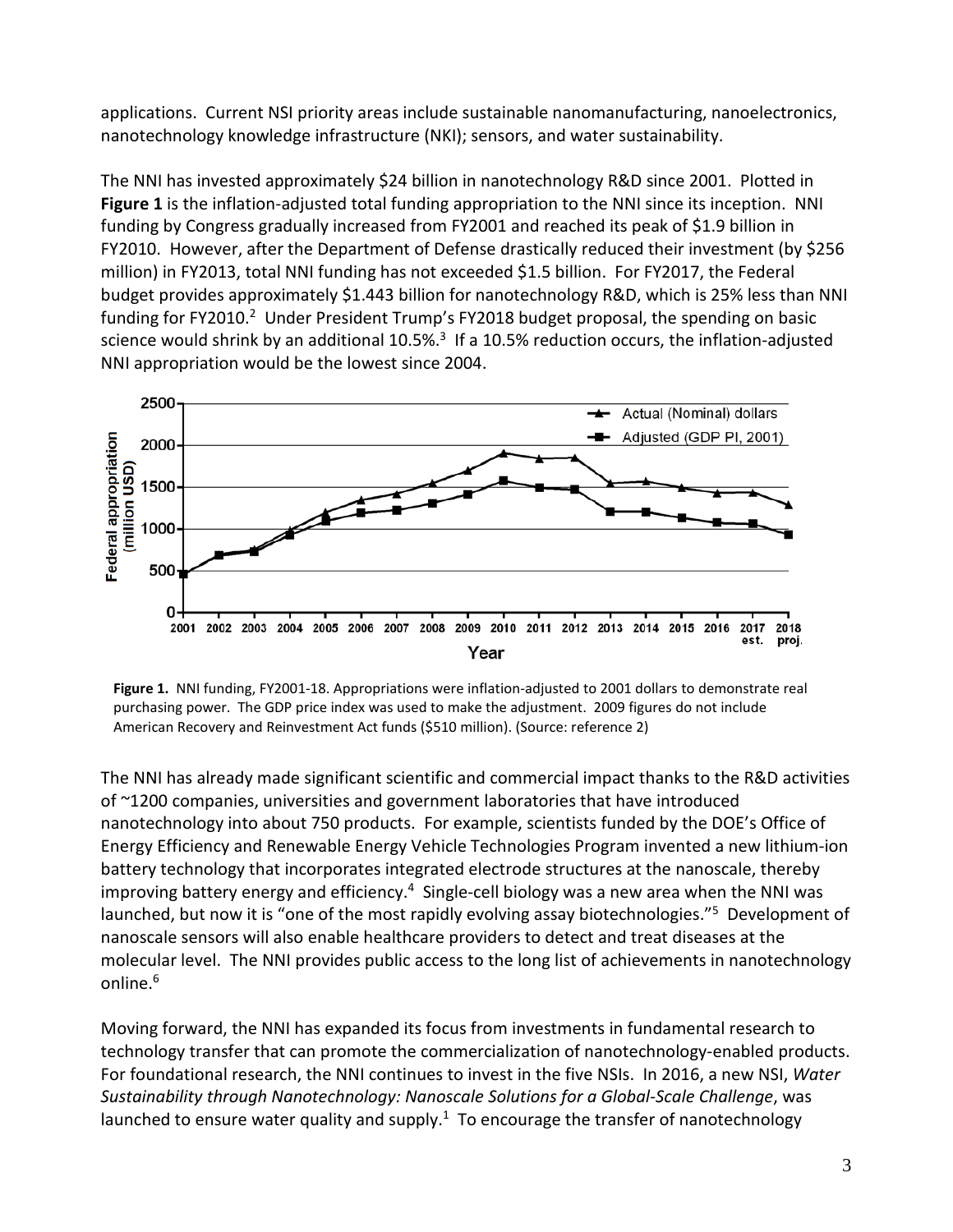applications. Current NSI priority areas include sustainable nanomanufacturing, nanoelectronics, nanotechnology knowledge infrastructure (NKI); sensors, and water sustainability.

The NNI has invested approximately \$24 billion in nanotechnology R&D since 2001. Plotted in **Figure 1** is the inflation-adjusted total funding appropriation to the NNI since its inception. NNI funding by Congress gradually increased from FY2001 and reached its peak of \$1.9 billion in FY2010. However, after the Department of Defense drastically reduced their investment (by \$256 million) in FY2013, total NNI funding has not exceeded \$1.5 billion. For FY2017, the Federal budget provides approximately \$1.443 billion for nanotechnology R&D, which is 25% less than NNI funding for FY2010.<sup>2</sup> Under President Trump's FY2018 budget proposal, the spending on basic science would shrink by an additional 10.5%.<sup>3</sup> If a 10.5% reduction occurs, the inflation-adjusted NNI appropriation would be the lowest since 2004.



**Figure 1.** NNI funding, FY2001-18. Appropriations were inflation-adjusted to 2001 dollars to demonstrate real purchasing power. The GDP price index was used to make the adjustment. 2009 figures do not include American Recovery and Reinvestment Act funds (\$510 million). (Source: reference 2)

The NNI has already made significant scientific and commercial impact thanks to the R&D activities of ~1200 companies, universities and government laboratories that have introduced nanotechnology into about 750 products. For example, scientists funded by the DOE's Office of Energy Efficiency and Renewable Energy Vehicle Technologies Program invented a new lithium-ion battery technology that incorporates integrated electrode structures at the nanoscale, thereby improving battery energy and efficiency.<sup>4</sup> Single-cell biology was a new area when the NNI was launched, but now it is "one of the most rapidly evolving assay biotechnologies."<sup>5</sup> Development of nanoscale sensors will also enable healthcare providers to detect and treat diseases at the molecular level. The NNI provides public access to the long list of achievements in nanotechnology online. 6

Moving forward, the NNI has expanded its focus from investments in fundamental research to technology transfer that can promote the commercialization of nanotechnology-enabled products. For foundational research, the NNI continues to invest in the five NSIs. In 2016, a new NSI, *Water Sustainability through Nanotechnology: Nanoscale Solutions for a Global-Scale Challenge*, was launched to ensure water quality and supply. $1$  To encourage the transfer of nanotechnology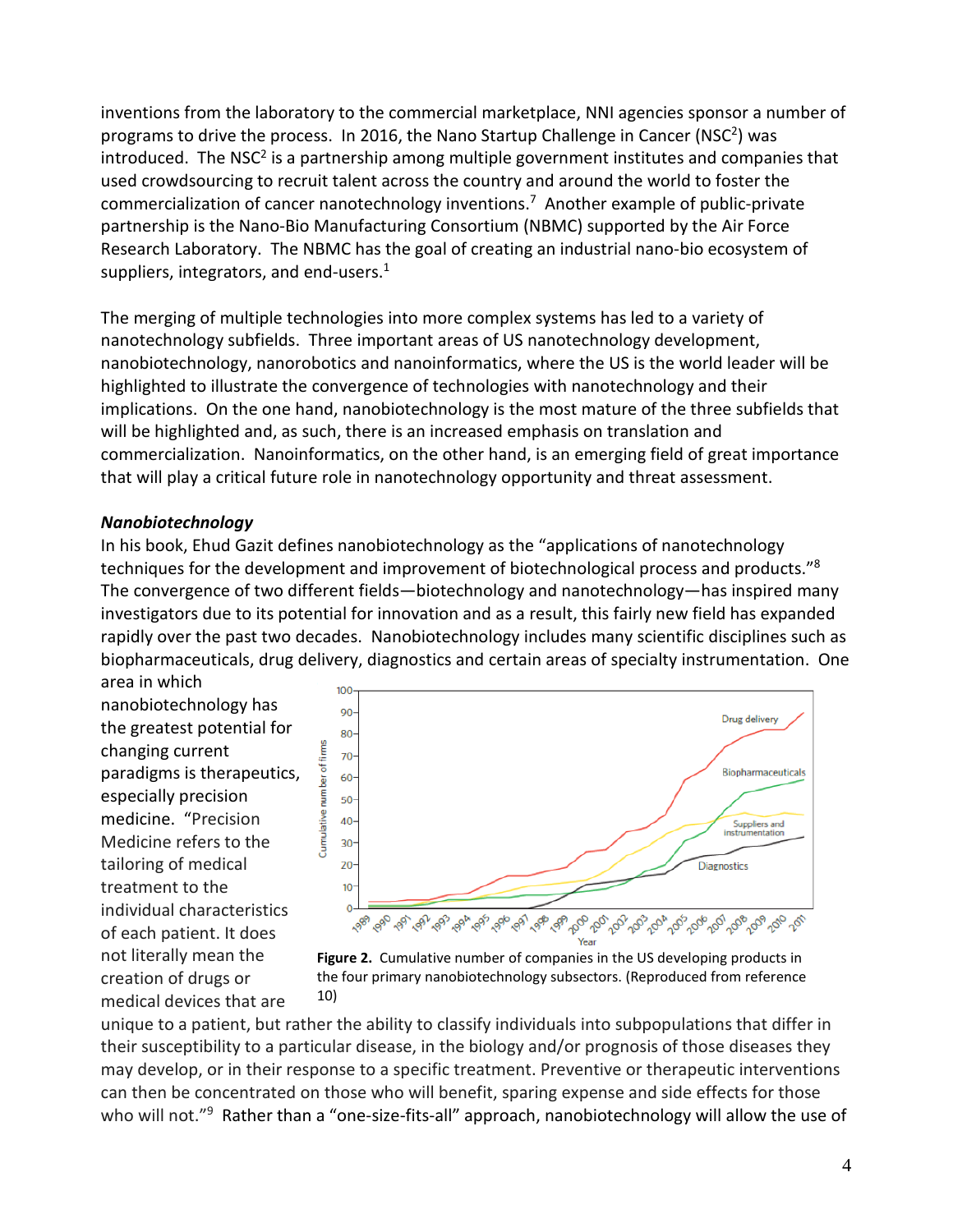inventions from the laboratory to the commercial marketplace, NNI agencies sponsor a number of programs to drive the process. In 2016, the Nano Startup Challenge in Cancer (NSC2) was introduced. The NSC<sup>2</sup> is a partnership among multiple government institutes and companies that used crowdsourcing to recruit talent across the country and around the world to foster the commercialization of cancer nanotechnology inventions.7 Another example of public-private partnership is the Nano-Bio Manufacturing Consortium (NBMC) supported by the Air Force Research Laboratory. The NBMC has the goal of creating an industrial nano-bio ecosystem of suppliers, integrators, and end-users. $1$ 

The merging of multiple technologies into more complex systems has led to a variety of nanotechnology subfields. Three important areas of US nanotechnology development, nanobiotechnology, nanorobotics and nanoinformatics, where the US is the world leader will be highlighted to illustrate the convergence of technologies with nanotechnology and their implications. On the one hand, nanobiotechnology is the most mature of the three subfields that will be highlighted and, as such, there is an increased emphasis on translation and commercialization. Nanoinformatics, on the other hand, is an emerging field of great importance that will play a critical future role in nanotechnology opportunity and threat assessment.

#### *Nanobiotechnology*

In his book, Ehud Gazit defines nanobiotechnology as the "applications of nanotechnology techniques for the development and improvement of biotechnological process and products."8 The convergence of two different fields—biotechnology and nanotechnology—has inspired many investigators due to its potential for innovation and as a result, this fairly new field has expanded rapidly over the past two decades. Nanobiotechnology includes many scientific disciplines such as biopharmaceuticals, drug delivery, diagnostics and certain areas of specialty instrumentation. One

area in which nanobiotechnology has the greatest potential for changing current paradigms is therapeutics, especially precision medicine. "Precision Medicine refers to the tailoring of medical treatment to the individual characteristics of each patient. It does not literally mean the creation of drugs or medical devices that are



**Figure 2.** Cumulative number of companies in the US developing products in the four primary nanobiotechnology subsectors. (Reproduced from reference 10)

unique to a patient, but rather the ability to classify individuals into subpopulations that differ in their susceptibility to a particular disease, in the biology and/or prognosis of those diseases they may develop, or in their response to a specific treatment. Preventive or therapeutic interventions can then be concentrated on those who will benefit, sparing expense and side effects for those who will not."<sup>9</sup> Rather than a "one-size-fits-all" approach, nanobiotechnology will allow the use of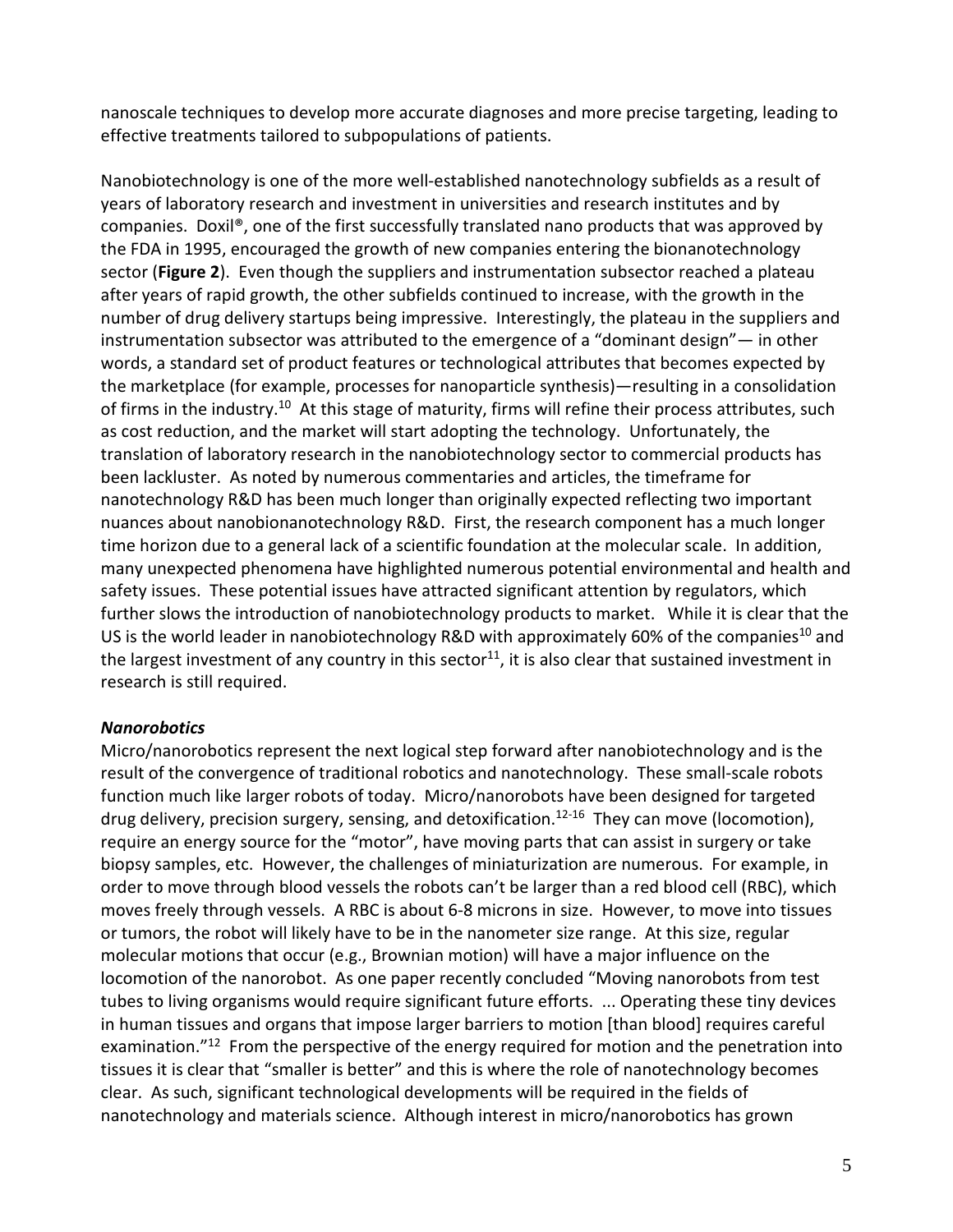nanoscale techniques to develop more accurate diagnoses and more precise targeting, leading to effective treatments tailored to subpopulations of patients.

Nanobiotechnology is one of the more well-established nanotechnology subfields as a result of years of laboratory research and investment in universities and research institutes and by companies. Doxil®, one of the first successfully translated nano products that was approved by the FDA in 1995, encouraged the growth of new companies entering the bionanotechnology sector (**Figure 2**). Even though the suppliers and instrumentation subsector reached a plateau after years of rapid growth, the other subfields continued to increase, with the growth in the number of drug delivery startups being impressive. Interestingly, the plateau in the suppliers and instrumentation subsector was attributed to the emergence of a "dominant design"— in other words, a standard set of product features or technological attributes that becomes expected by the marketplace (for example, processes for nanoparticle synthesis)—resulting in a consolidation of firms in the industry.<sup>10</sup> At this stage of maturity, firms will refine their process attributes, such as cost reduction, and the market will start adopting the technology. Unfortunately, the translation of laboratory research in the nanobiotechnology sector to commercial products has been lackluster. As noted by numerous commentaries and articles, the timeframe for nanotechnology R&D has been much longer than originally expected reflecting two important nuances about nanobionanotechnology R&D. First, the research component has a much longer time horizon due to a general lack of a scientific foundation at the molecular scale. In addition, many unexpected phenomena have highlighted numerous potential environmental and health and safety issues. These potential issues have attracted significant attention by regulators, which further slows the introduction of nanobiotechnology products to market. While it is clear that the US is the world leader in nanobiotechnology R&D with approximately 60% of the companies<sup>10</sup> and the largest investment of any country in this sector<sup>11</sup>, it is also clear that sustained investment in research is still required.

### *Nanorobotics*

Micro/nanorobotics represent the next logical step forward after nanobiotechnology and is the result of the convergence of traditional robotics and nanotechnology. These small-scale robots function much like larger robots of today. Micro/nanorobots have been designed for targeted drug delivery, precision surgery, sensing, and detoxification.<sup>12-16</sup> They can move (locomotion), require an energy source for the "motor", have moving parts that can assist in surgery or take biopsy samples, etc. However, the challenges of miniaturization are numerous. For example, in order to move through blood vessels the robots can't be larger than a red blood cell (RBC), which moves freely through vessels. A RBC is about 6-8 microns in size. However, to move into tissues or tumors, the robot will likely have to be in the nanometer size range. At this size, regular molecular motions that occur (e.g., Brownian motion) will have a major influence on the locomotion of the nanorobot. As one paper recently concluded "Moving nanorobots from test tubes to living organisms would require significant future efforts. ... Operating these tiny devices in human tissues and organs that impose larger barriers to motion [than blood] requires careful examination."<sup>12</sup> From the perspective of the energy required for motion and the penetration into tissues it is clear that "smaller is better" and this is where the role of nanotechnology becomes clear. As such, significant technological developments will be required in the fields of nanotechnology and materials science. Although interest in micro/nanorobotics has grown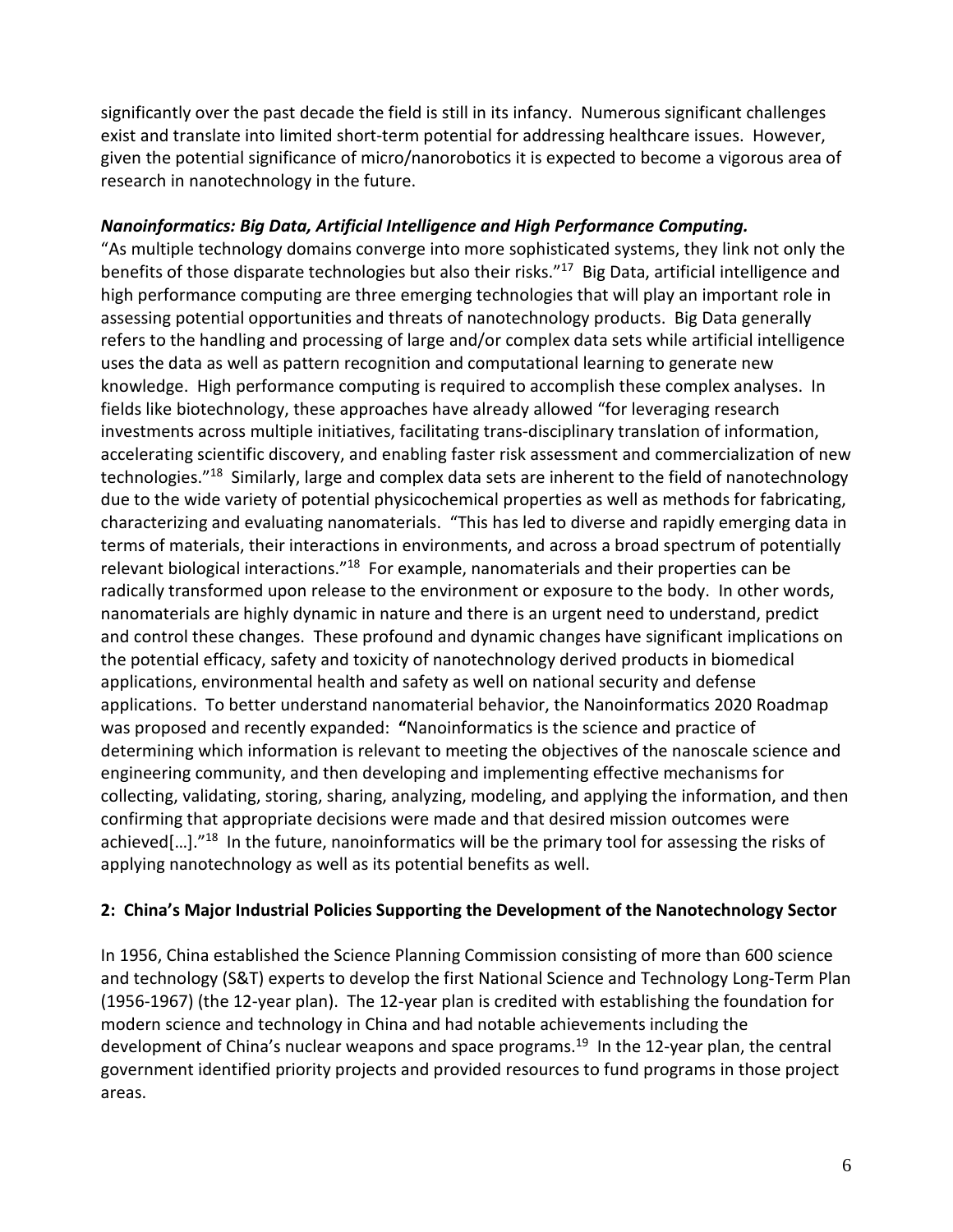significantly over the past decade the field is still in its infancy. Numerous significant challenges exist and translate into limited short-term potential for addressing healthcare issues. However, given the potential significance of micro/nanorobotics it is expected to become a vigorous area of research in nanotechnology in the future.

## *Nanoinformatics: Big Data, Artificial Intelligence and High Performance Computing.*

"As multiple technology domains converge into more sophisticated systems, they link not only the benefits of those disparate technologies but also their risks."<sup>17</sup> Big Data, artificial intelligence and high performance computing are three emerging technologies that will play an important role in assessing potential opportunities and threats of nanotechnology products. Big Data generally refers to the handling and processing of large and/or complex data sets while artificial intelligence uses the data as well as pattern recognition and computational learning to generate new knowledge. High performance computing is required to accomplish these complex analyses. In fields like biotechnology, these approaches have already allowed "for leveraging research investments across multiple initiatives, facilitating trans-disciplinary translation of information, accelerating scientific discovery, and enabling faster risk assessment and commercialization of new technologies."18 Similarly, large and complex data sets are inherent to the field of nanotechnology due to the wide variety of potential physicochemical properties as well as methods for fabricating, characterizing and evaluating nanomaterials. "This has led to diverse and rapidly emerging data in terms of materials, their interactions in environments, and across a broad spectrum of potentially relevant biological interactions."<sup>18</sup> For example, nanomaterials and their properties can be radically transformed upon release to the environment or exposure to the body. In other words, nanomaterials are highly dynamic in nature and there is an urgent need to understand, predict and control these changes. These profound and dynamic changes have significant implications on the potential efficacy, safety and toxicity of nanotechnology derived products in biomedical applications, environmental health and safety as well on national security and defense applications. To better understand nanomaterial behavior, the Nanoinformatics 2020 Roadmap was proposed and recently expanded: **"**Nanoinformatics is the science and practice of determining which information is relevant to meeting the objectives of the nanoscale science and engineering community, and then developing and implementing effective mechanisms for collecting, validating, storing, sharing, analyzing, modeling, and applying the information, and then confirming that appropriate decisions were made and that desired mission outcomes were achieved[...]."<sup>18</sup> In the future, nanoinformatics will be the primary tool for assessing the risks of applying nanotechnology as well as its potential benefits as well.

### **2: China's Major Industrial Policies Supporting the Development of the Nanotechnology Sector**

In 1956, China established the Science Planning Commission consisting of more than 600 science and technology (S&T) experts to develop the first National Science and Technology Long-Term Plan (1956-1967) (the 12-year plan). The 12-year plan is credited with establishing the foundation for modern science and technology in China and had notable achievements including the development of China's nuclear weapons and space programs.<sup>19</sup> In the 12-year plan, the central government identified priority projects and provided resources to fund programs in those project areas.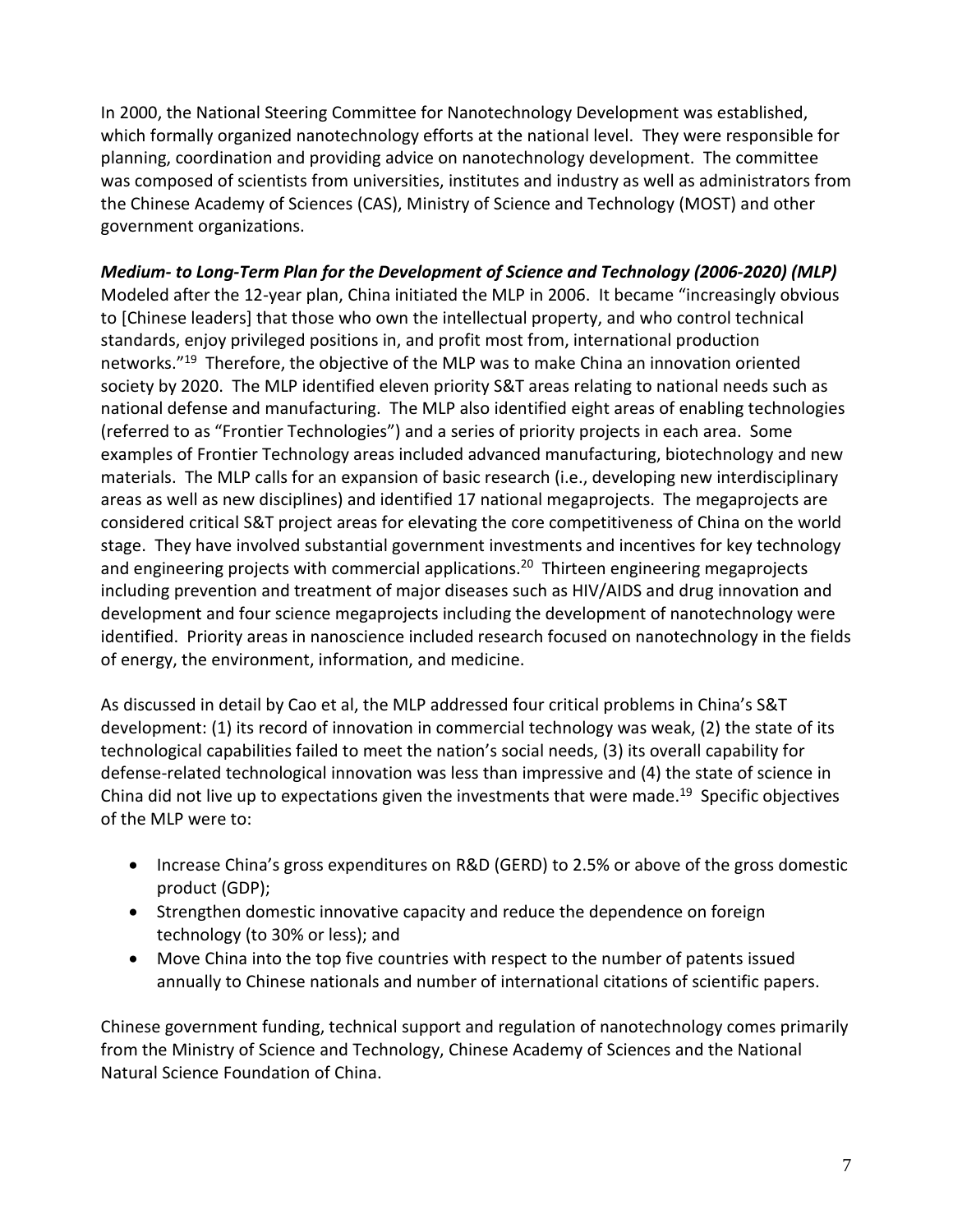In 2000, the National Steering Committee for Nanotechnology Development was established, which formally organized nanotechnology efforts at the national level. They were responsible for planning, coordination and providing advice on nanotechnology development. The committee was composed of scientists from universities, institutes and industry as well as administrators from the Chinese Academy of Sciences (CAS), Ministry of Science and Technology (MOST) and other government organizations.

# *Medium- to Long-Term Plan for the Development of Science and Technology (2006-2020) (MLP)*

Modeled after the 12-year plan, China initiated the MLP in 2006. It became "increasingly obvious to [Chinese leaders] that those who own the intellectual property, and who control technical standards, enjoy privileged positions in, and profit most from, international production networks."19 Therefore, the objective of the MLP was to make China an innovation oriented society by 2020. The MLP identified eleven priority S&T areas relating to national needs such as national defense and manufacturing. The MLP also identified eight areas of enabling technologies (referred to as "Frontier Technologies") and a series of priority projects in each area. Some examples of Frontier Technology areas included advanced manufacturing, biotechnology and new materials. The MLP calls for an expansion of basic research (i.e., developing new interdisciplinary areas as well as new disciplines) and identified 17 national megaprojects. The megaprojects are considered critical S&T project areas for elevating the core competitiveness of China on the world stage. They have involved substantial government investments and incentives for key technology and engineering projects with commercial applications.<sup>20</sup> Thirteen engineering megaprojects including prevention and treatment of major diseases such as HIV/AIDS and drug innovation and development and four science megaprojects including the development of nanotechnology were identified. Priority areas in nanoscience included research focused on nanotechnology in the fields of energy, the environment, information, and medicine.

As discussed in detail by Cao et al, the MLP addressed four critical problems in China's S&T development: (1) its record of innovation in commercial technology was weak, (2) the state of its technological capabilities failed to meet the nation's social needs, (3) its overall capability for defense-related technological innovation was less than impressive and (4) the state of science in China did not live up to expectations given the investments that were made. <sup>19</sup> Specific objectives of the MLP were to:

- Increase China's gross expenditures on R&D (GERD) to 2.5% or above of the gross domestic product (GDP);
- Strengthen domestic innovative capacity and reduce the dependence on foreign technology (to 30% or less); and
- Move China into the top five countries with respect to the number of patents issued annually to Chinese nationals and number of international citations of scientific papers.

Chinese government funding, technical support and regulation of nanotechnology comes primarily from the Ministry of Science and Technology, Chinese Academy of Sciences and the National Natural Science Foundation of China.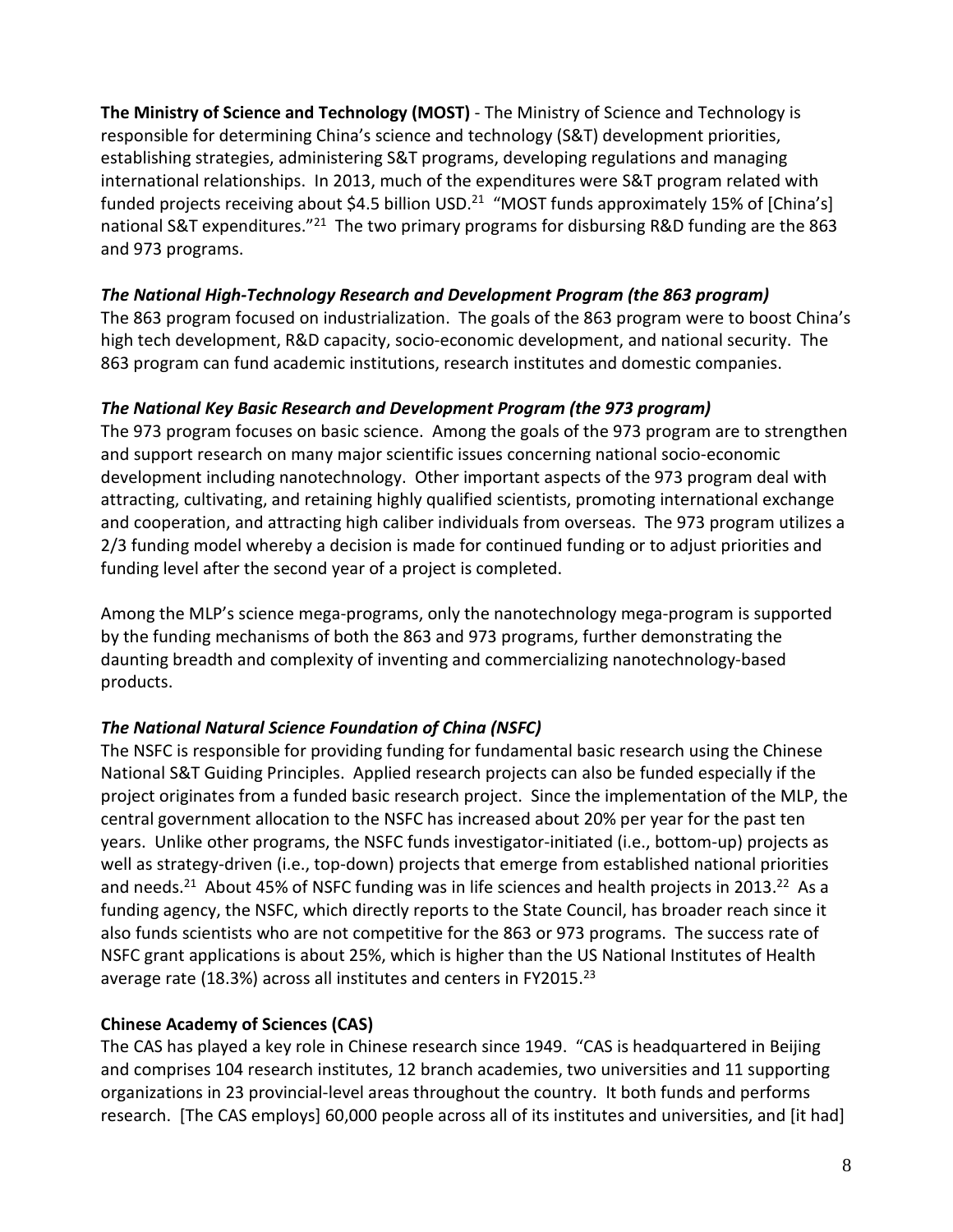**The Ministry of Science and Technology (MOST)** - The Ministry of Science and Technology is responsible for determining China's science and technology (S&T) development priorities, establishing strategies, administering S&T programs, developing regulations and managing international relationships. In 2013, much of the expenditures were S&T program related with funded projects receiving about \$4.5 billion USD.<sup>21</sup> "MOST funds approximately 15% of [China's] national S&T expenditures."<sup>21</sup> The two primary programs for disbursing R&D funding are the 863 and 973 programs.

### *The National High-Technology Research and Development Program (the 863 program)*

The 863 program focused on industrialization. The goals of the 863 program were to boost China's high tech development, R&D capacity, socio-economic development, and national security. The 863 program can fund academic institutions, research institutes and domestic companies.

### *The National Key Basic Research and Development Program (the 973 program)*

The 973 program focuses on basic science. Among the goals of the 973 program are to strengthen and support research on many major scientific issues concerning national socio-economic development including nanotechnology. Other important aspects of the 973 program deal with attracting, cultivating, and retaining highly qualified scientists, promoting international exchange and cooperation, and attracting high caliber individuals from overseas. The 973 program utilizes a 2/3 funding model whereby a decision is made for continued funding or to adjust priorities and funding level after the second year of a project is completed.

Among the MLP's science mega-programs, only the nanotechnology mega-program is supported by the funding mechanisms of both the 863 and 973 programs, further demonstrating the daunting breadth and complexity of inventing and commercializing nanotechnology-based products.

# *The National Natural Science Foundation of China (NSFC)*

The NSFC is responsible for providing funding for fundamental basic research using the Chinese National S&T Guiding Principles. Applied research projects can also be funded especially if the project originates from a funded basic research project. Since the implementation of the MLP, the central government allocation to the NSFC has increased about 20% per year for the past ten years. Unlike other programs, the NSFC funds investigator-initiated (i.e., bottom-up) projects as well as strategy-driven (i.e., top-down) projects that emerge from established national priorities and needs.<sup>21</sup> About 45% of NSFC funding was in life sciences and health projects in 2013.<sup>22</sup> As a funding agency, the NSFC, which directly reports to the State Council, has broader reach since it also funds scientists who are not competitive for the 863 or 973 programs. The success rate of NSFC grant applications is about 25%, which is higher than the US National Institutes of Health average rate (18.3%) across all institutes and centers in FY2015.<sup>23</sup>

# **Chinese Academy of Sciences (CAS)**

The CAS has played a key role in Chinese research since 1949. "CAS is headquartered in Beijing and comprises 104 research institutes, 12 branch academies, two universities and 11 supporting organizations in 23 provincial-level areas throughout the country. It both funds and performs research. [The CAS employs] 60,000 people across all of its institutes and universities, and [it had]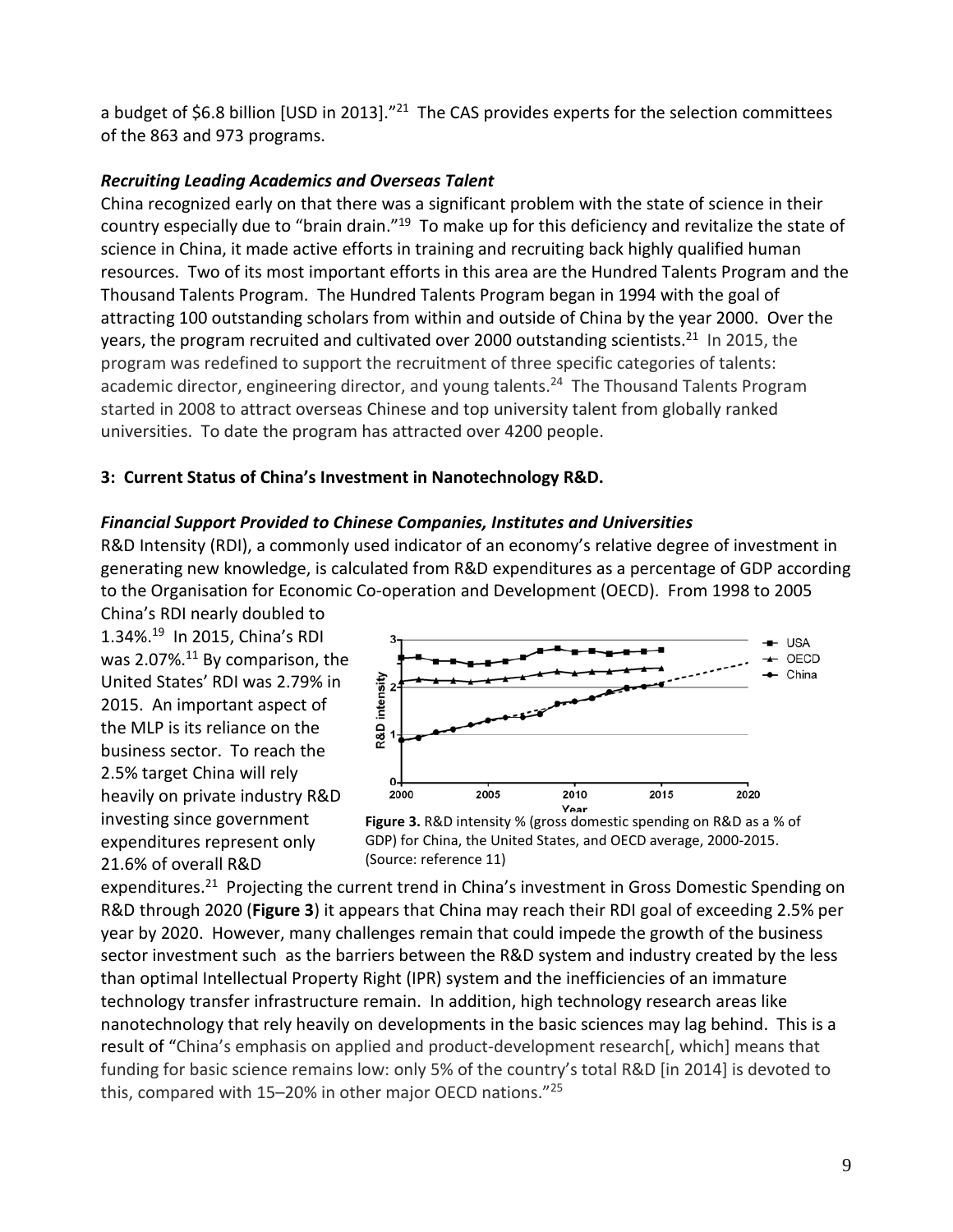a budget of \$6.8 billion [USD in 2013]."<sup>21</sup> The CAS provides experts for the selection committees of the 863 and 973 programs.

# *Recruiting Leading Academics and Overseas Talent*

China recognized early on that there was a significant problem with the state of science in their country especially due to "brain drain."19 To make up for this deficiency and revitalize the state of science in China, it made active efforts in training and recruiting back highly qualified human resources. Two of its most important efforts in this area are the Hundred Talents Program and the Thousand Talents Program. The Hundred Talents Program began in 1994 with the goal of attracting 100 outstanding scholars from within and outside of China by the year 2000. Over the years, the program recruited and cultivated over 2000 outstanding scientists.<sup>21</sup> In 2015, the program was redefined to support the recruitment of three specific categories of talents: academic director, engineering director, and young talents.<sup>24</sup> The Thousand Talents Program started in 2008 to attract overseas Chinese and top university talent from globally ranked universities. To date the program has attracted over 4200 people.

# **3: Current Status of China's Investment in Nanotechnology R&D.**

### *Financial Support Provided to Chinese Companies, Institutes and Universities*

R&D Intensity (RDI), a commonly used indicator of an economy's relative degree of investment in generating new knowledge, is calculated from R&D expenditures as a percentage of GDP according to the Organisation for Economic Co-operation and Development (OECD). From 1998 to 2005

China's RDI nearly doubled to 1.34%.19 In 2015, China's RDI was 2.07%.<sup>11</sup> By comparison, the United States' RDI was 2.79% in 2015. An important aspect of the MLP is its reliance on the business sector. To reach the 2.5% target China will rely heavily on private industry R&D investing since government expenditures represent only 21.6% of overall R&D





expenditures.<sup>21</sup> Projecting the current trend in China's investment in Gross Domestic Spending on R&D through 2020 (**Figure 3**) it appears that China may reach their RDI goal of exceeding 2.5% per year by 2020. However, many challenges remain that could impede the growth of the business sector investment such as the barriers between the R&D system and industry created by the less than optimal Intellectual Property Right (IPR) system and the inefficiencies of an immature technology transfer infrastructure remain. In addition, high technology research areas like nanotechnology that rely heavily on developments in the basic sciences may lag behind. This is a result of "China's emphasis on applied and product-development research[, which] means that funding for basic science remains low: only 5% of the country's total R&D [in 2014] is devoted to this, compared with 15-20% in other major OECD nations."<sup>25</sup>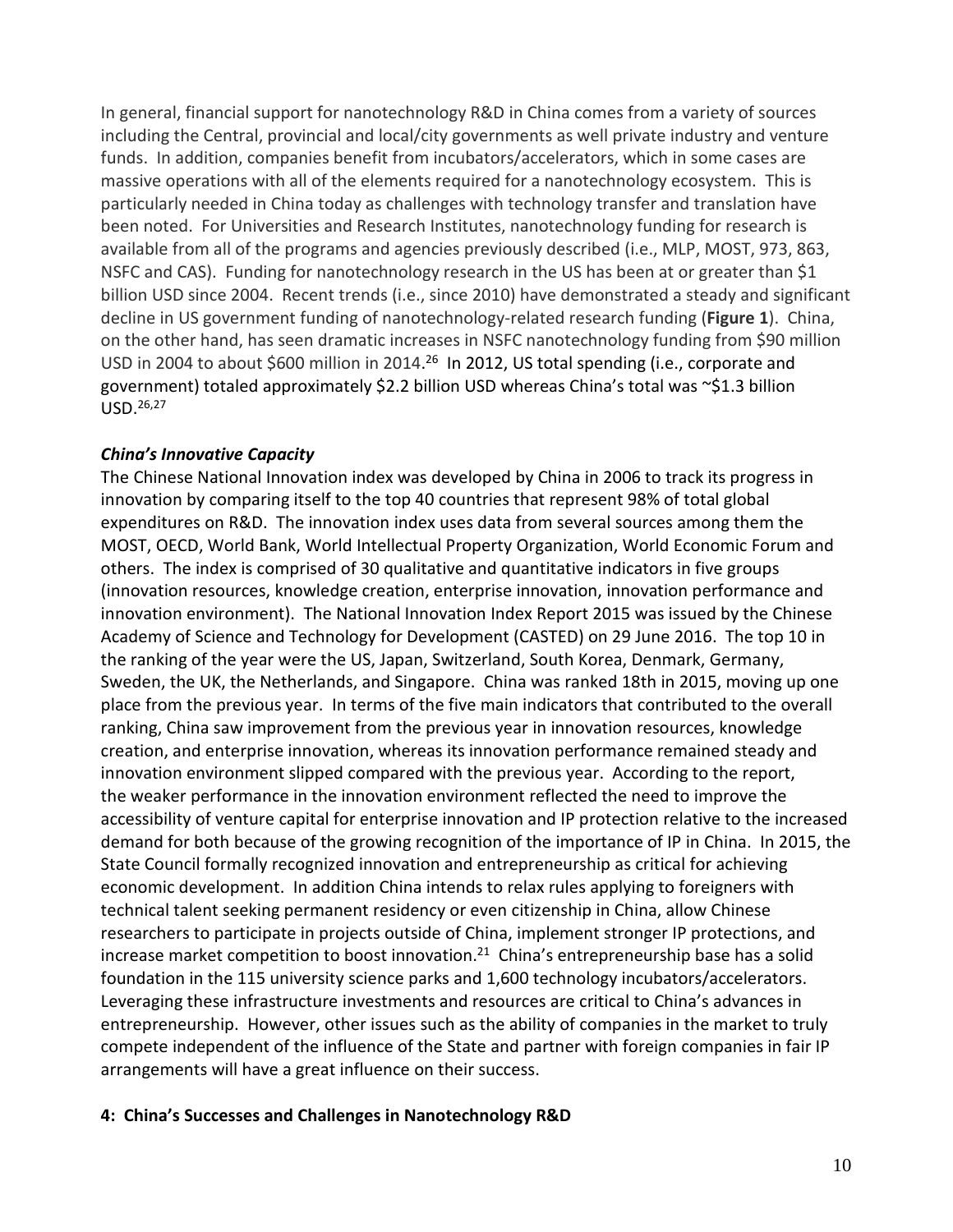In general, financial support for nanotechnology R&D in China comes from a variety of sources including the Central, provincial and local/city governments as well private industry and venture funds. In addition, companies benefit from incubators/accelerators, which in some cases are massive operations with all of the elements required for a nanotechnology ecosystem. This is particularly needed in China today as challenges with technology transfer and translation have been noted. For Universities and Research Institutes, nanotechnology funding for research is available from all of the programs and agencies previously described (i.e., MLP, MOST, 973, 863, NSFC and CAS). Funding for nanotechnology research in the US has been at or greater than \$1 billion USD since 2004. Recent trends (i.e., since 2010) have demonstrated a steady and significant decline in US government funding of nanotechnology-related research funding (**Figure 1**). China, on the other hand, has seen dramatic increases in NSFC nanotechnology funding from \$90 million USD in 2004 to about \$600 million in 2014.<sup>26</sup> In 2012, US total spending (i.e., corporate and government) totaled approximately \$2.2 billion USD whereas China's total was ~\$1.3 billion USD. 26,27

### *China's Innovative Capacity*

The Chinese National Innovation index was developed by China in 2006 to track its progress in innovation by comparing itself to the top 40 countries that represent 98% of total global expenditures on R&D. The innovation index uses data from several sources among them the MOST, OECD, World Bank, World Intellectual Property Organization, World Economic Forum and others. The index is comprised of 30 qualitative and quantitative indicators in five groups (innovation resources, knowledge creation, enterprise innovation, innovation performance and innovation environment). The National Innovation Index Report 2015 was issued by the Chinese Academy of Science and Technology for Development (CASTED) on 29 June 2016. The top 10 in the ranking of the year were the US, Japan, Switzerland, South Korea, Denmark, Germany, Sweden, the UK, the Netherlands, and Singapore. China was ranked 18th in 2015, moving up one place from the previous year. In terms of the five main indicators that contributed to the overall ranking, China saw improvement from the previous year in innovation resources, knowledge creation, and enterprise innovation, whereas its innovation performance remained steady and innovation environment slipped compared with the previous year. According to the report, the weaker performance in the innovation environment reflected the need to improve the accessibility of venture capital for enterprise innovation and IP protection relative to the increased demand for both because of the growing recognition of the importance of IP in China. In 2015, the State Council formally recognized innovation and entrepreneurship as critical for achieving economic development. In addition China intends to relax rules applying to foreigners with technical talent seeking permanent residency or even citizenship in China, allow Chinese researchers to participate in projects outside of China, implement stronger IP protections, and increase market competition to boost innovation.<sup>21</sup> China's entrepreneurship base has a solid foundation in the 115 university science parks and 1,600 technology incubators/accelerators. Leveraging these infrastructure investments and resources are critical to China's advances in entrepreneurship. However, other issues such as the ability of companies in the market to truly compete independent of the influence of the State and partner with foreign companies in fair IP arrangements will have a great influence on their success.

#### **4: China's Successes and Challenges in Nanotechnology R&D**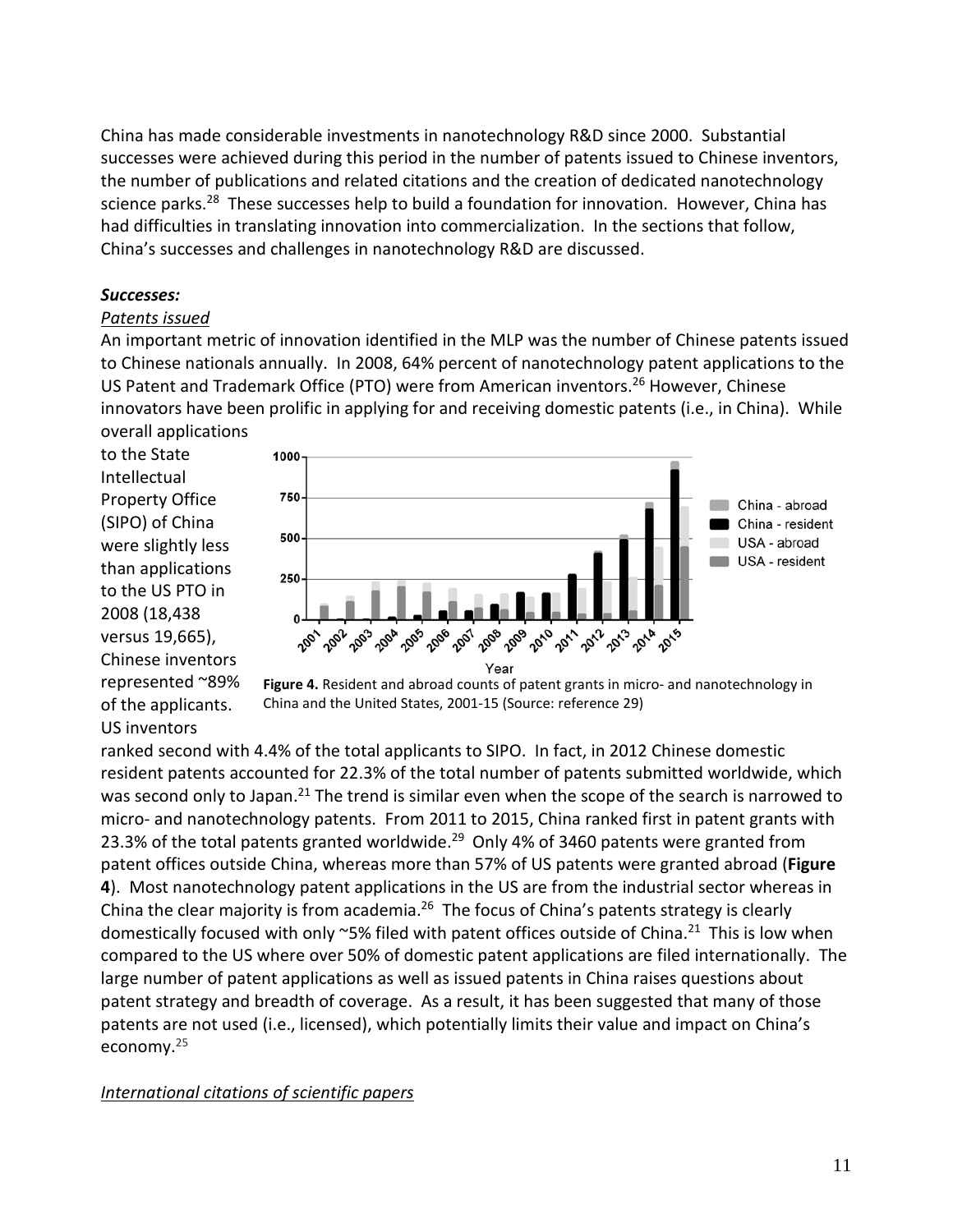China has made considerable investments in nanotechnology R&D since 2000. Substantial successes were achieved during this period in the number of patents issued to Chinese inventors, the number of publications and related citations and the creation of dedicated nanotechnology science parks.<sup>28</sup> These successes help to build a foundation for innovation. However, China has had difficulties in translating innovation into commercialization. In the sections that follow, China's successes and challenges in nanotechnology R&D are discussed.

#### *Successes:*

#### *Patents issued*

An important metric of innovation identified in the MLP was the number of Chinese patents issued to Chinese nationals annually. In 2008, 64% percent of nanotechnology patent applications to the US Patent and Trademark Office (PTO) were from American inventors.<sup>26</sup> However, Chinese innovators have been prolific in applying for and receiving domestic patents (i.e., in China). While overall applications

to the State Intellectual Property Office (SIPO) of China were slightly less than applications to the US PTO in 2008 (18,438 versus 19,665), Chinese inventors represented ~89% of the applicants. US inventors





ranked second with 4.4% of the total applicants to SIPO. In fact, in 2012 Chinese domestic resident patents accounted for 22.3% of the total number of patents submitted worldwide, which was second only to Japan.<sup>21</sup> The trend is similar even when the scope of the search is narrowed to micro- and nanotechnology patents. From 2011 to 2015, China ranked first in patent grants with 23.3% of the total patents granted worldwide.<sup>29</sup> Only 4% of 3460 patents were granted from patent offices outside China, whereas more than 57% of US patents were granted abroad (**Figure 4**). Most nanotechnology patent applications in the US are from the industrial sector whereas in China the clear majority is from academia.<sup>26</sup> The focus of China's patents strategy is clearly domestically focused with only  $\sim$ 5% filed with patent offices outside of China.<sup>21</sup> This is low when compared to the US where over 50% of domestic patent applications are filed internationally. The large number of patent applications as well as issued patents in China raises questions about patent strategy and breadth of coverage. As a result, it has been suggested that many of those patents are not used (i.e., licensed), which potentially limits their value and impact on China's economy. 25

#### *International citations of scientific papers*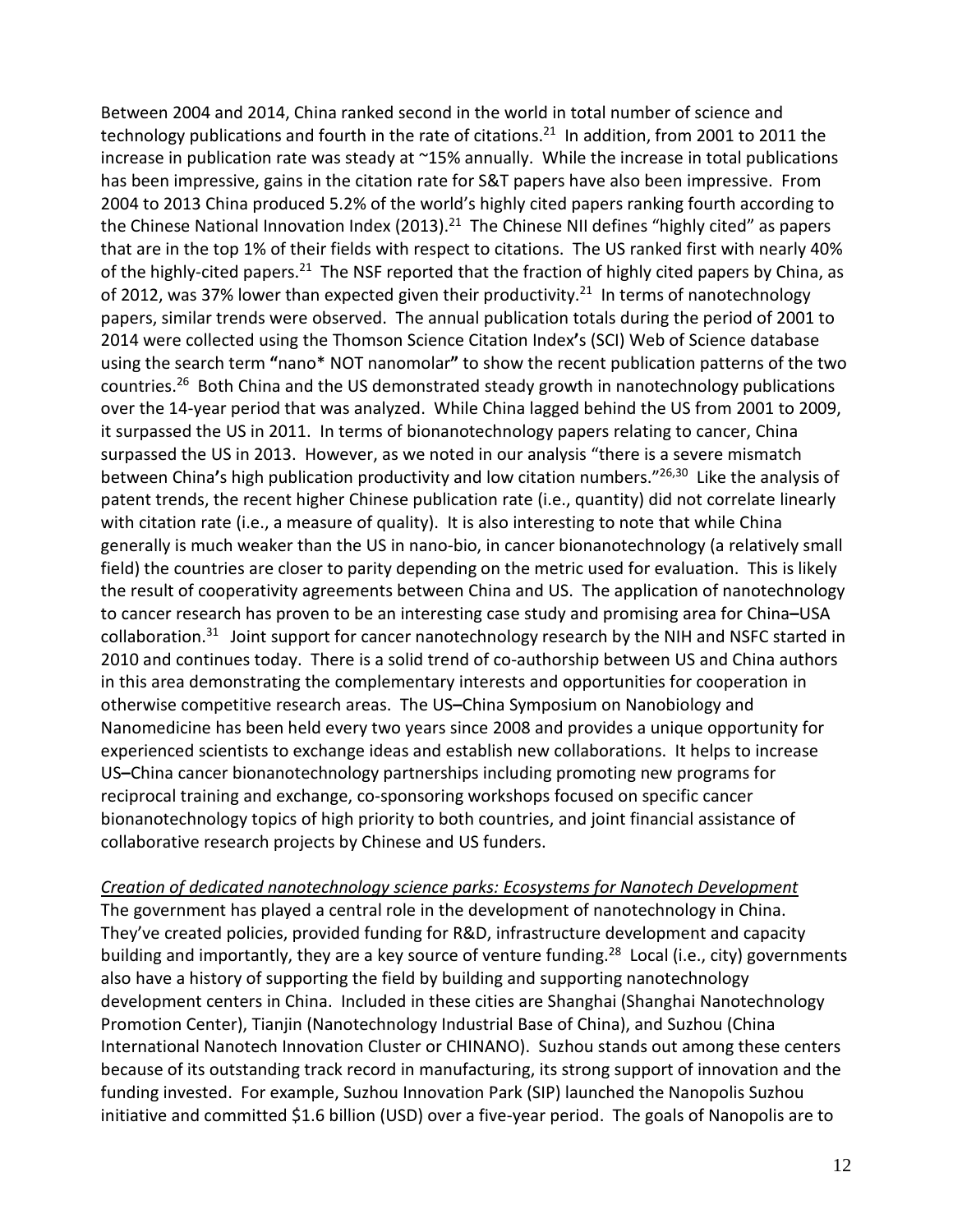Between 2004 and 2014, China ranked second in the world in total number of science and technology publications and fourth in the rate of citations.<sup>21</sup> In addition, from 2001 to 2011 the increase in publication rate was steady at ~15% annually. While the increase in total publications has been impressive, gains in the citation rate for S&T papers have also been impressive. From 2004 to 2013 China produced 5.2% of the world's highly cited papers ranking fourth according to the Chinese National Innovation Index (2013).<sup>21</sup> The Chinese NII defines "highly cited" as papers that are in the top 1% of their fields with respect to citations. The US ranked first with nearly 40% of the highly-cited papers.<sup>21</sup> The NSF reported that the fraction of highly cited papers by China, as of 2012, was 37% lower than expected given their productivity.<sup>21</sup> In terms of nanotechnology papers, similar trends were observed. The annual publication totals during the period of 2001 to 2014 were collected using the Thomson Science Citation Index**'**s (SCI) Web of Science database using the search term **"**nano\* NOT nanomolar**"** to show the recent publication patterns of the two countries.<sup>26</sup> Both China and the US demonstrated steady growth in nanotechnology publications over the 14-year period that was analyzed. While China lagged behind the US from 2001 to 2009, it surpassed the US in 2011. In terms of bionanotechnology papers relating to cancer, China surpassed the US in 2013. However, as we noted in our analysis "there is a severe mismatch between China**'**s high publication productivity and low citation numbers."26,30 Like the analysis of patent trends, the recent higher Chinese publication rate (i.e., quantity) did not correlate linearly with citation rate (i.e., a measure of quality). It is also interesting to note that while China generally is much weaker than the US in nano-bio, in cancer bionanotechnology (a relatively small field) the countries are closer to parity depending on the metric used for evaluation. This is likely the result of cooperativity agreements between China and US. The application of nanotechnology to cancer research has proven to be an interesting case study and promising area for China**–**USA collaboration.<sup>31</sup> Joint support for cancer nanotechnology research by the NIH and NSFC started in 2010 and continues today. There is a solid trend of co-authorship between US and China authors in this area demonstrating the complementary interests and opportunities for cooperation in otherwise competitive research areas. The US**–**China Symposium on Nanobiology and Nanomedicine has been held every two years since 2008 and provides a unique opportunity for experienced scientists to exchange ideas and establish new collaborations. It helps to increase US**–**China cancer bionanotechnology partnerships including promoting new programs for reciprocal training and exchange, co-sponsoring workshops focused on specific cancer bionanotechnology topics of high priority to both countries, and joint financial assistance of collaborative research projects by Chinese and US funders.

*Creation of dedicated nanotechnology science parks: Ecosystems for Nanotech Development*

The government has played a central role in the development of nanotechnology in China. They've created policies, provided funding for R&D, infrastructure development and capacity building and importantly, they are a key source of venture funding.<sup>28</sup> Local (i.e., city) governments also have a history of supporting the field by building and supporting nanotechnology development centers in China. Included in these cities are Shanghai (Shanghai Nanotechnology Promotion Center), Tianjin (Nanotechnology Industrial Base of China), and Suzhou (China International Nanotech Innovation Cluster or CHINANO). Suzhou stands out among these centers because of its outstanding track record in manufacturing, its strong support of innovation and the funding invested. For example, Suzhou Innovation Park (SIP) launched the Nanopolis Suzhou initiative and committed \$1.6 billion (USD) over a five-year period. The goals of Nanopolis are to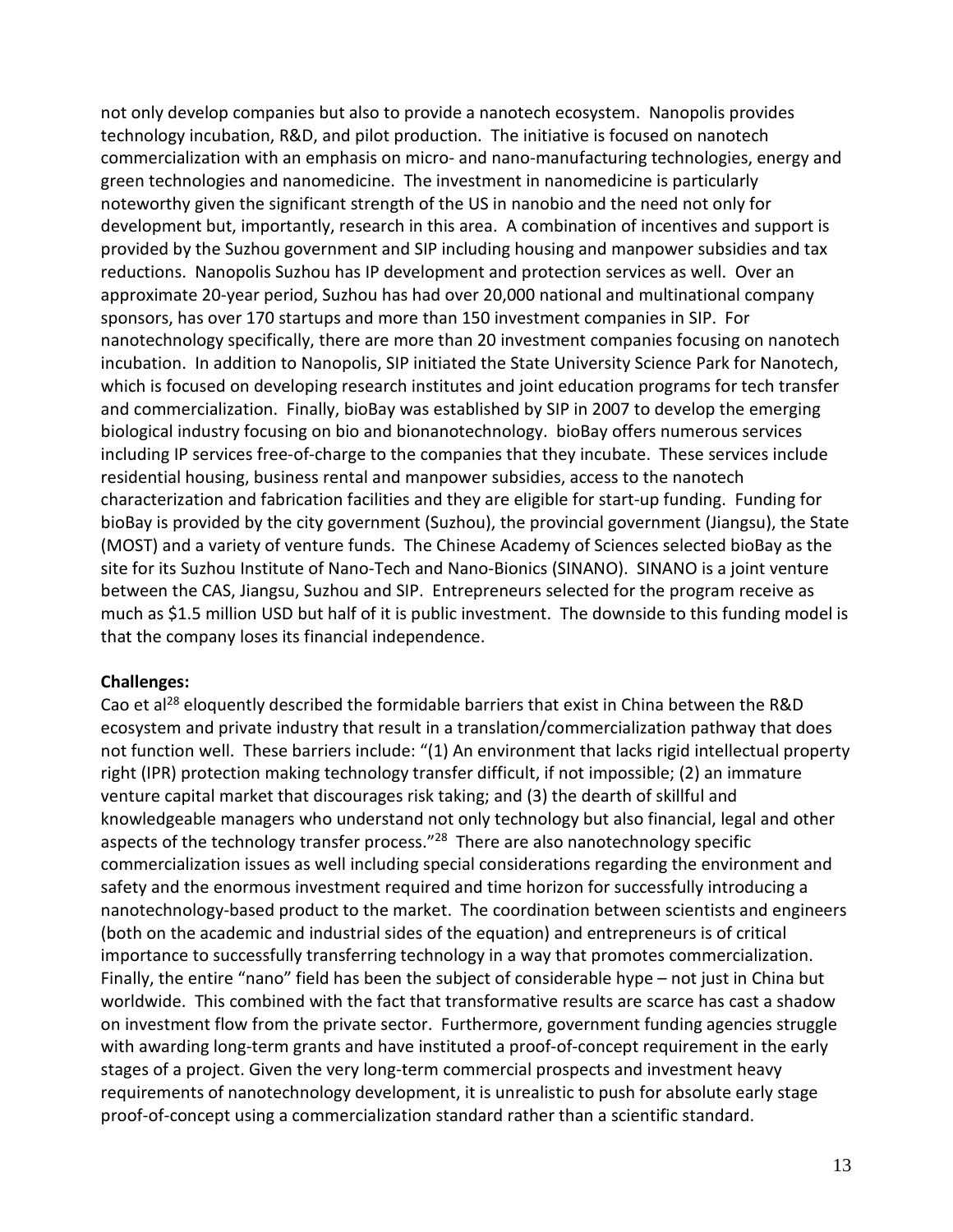not only develop companies but also to provide a nanotech ecosystem. Nanopolis provides technology incubation, R&D, and pilot production. The initiative is focused on nanotech commercialization with an emphasis on micro- and nano-manufacturing technologies, energy and green technologies and nanomedicine. The investment in nanomedicine is particularly noteworthy given the significant strength of the US in nanobio and the need not only for development but, importantly, research in this area. A combination of incentives and support is provided by the Suzhou government and SIP including housing and manpower subsidies and tax reductions. Nanopolis Suzhou has IP development and protection services as well. Over an approximate 20-year period, Suzhou has had over 20,000 national and multinational company sponsors, has over 170 startups and more than 150 investment companies in SIP. For nanotechnology specifically, there are more than 20 investment companies focusing on nanotech incubation. In addition to Nanopolis, SIP initiated the State University Science Park for Nanotech, which is focused on developing research institutes and joint education programs for tech transfer and commercialization. Finally, bioBay was established by SIP in 2007 to develop the emerging biological industry focusing on bio and bionanotechnology. bioBay offers numerous services including IP services free-of-charge to the companies that they incubate. These services include residential housing, business rental and manpower subsidies, access to the nanotech characterization and fabrication facilities and they are eligible for start-up funding. Funding for bioBay is provided by the city government (Suzhou), the provincial government (Jiangsu), the State (MOST) and a variety of venture funds. The Chinese Academy of Sciences selected bioBay as the site for its Suzhou Institute of Nano-Tech and Nano-Bionics (SINANO). SINANO is a joint venture between the CAS, Jiangsu, Suzhou and SIP. Entrepreneurs selected for the program receive as much as \$1.5 million USD but half of it is public investment. The downside to this funding model is that the company loses its financial independence.

#### **Challenges:**

Cao et al<sup>28</sup> eloquently described the formidable barriers that exist in China between the R&D ecosystem and private industry that result in a translation/commercialization pathway that does not function well. These barriers include: "(1) An environment that lacks rigid intellectual property right (IPR) protection making technology transfer difficult, if not impossible; (2) an immature venture capital market that discourages risk taking; and (3) the dearth of skillful and knowledgeable managers who understand not only technology but also financial, legal and other aspects of the technology transfer process."<sup>28</sup> There are also nanotechnology specific commercialization issues as well including special considerations regarding the environment and safety and the enormous investment required and time horizon for successfully introducing a nanotechnology-based product to the market. The coordination between scientists and engineers (both on the academic and industrial sides of the equation) and entrepreneurs is of critical importance to successfully transferring technology in a way that promotes commercialization. Finally, the entire "nano" field has been the subject of considerable hype – not just in China but worldwide. This combined with the fact that transformative results are scarce has cast a shadow on investment flow from the private sector. Furthermore, government funding agencies struggle with awarding long-term grants and have instituted a proof-of-concept requirement in the early stages of a project. Given the very long-term commercial prospects and investment heavy requirements of nanotechnology development, it is unrealistic to push for absolute early stage proof-of-concept using a commercialization standard rather than a scientific standard.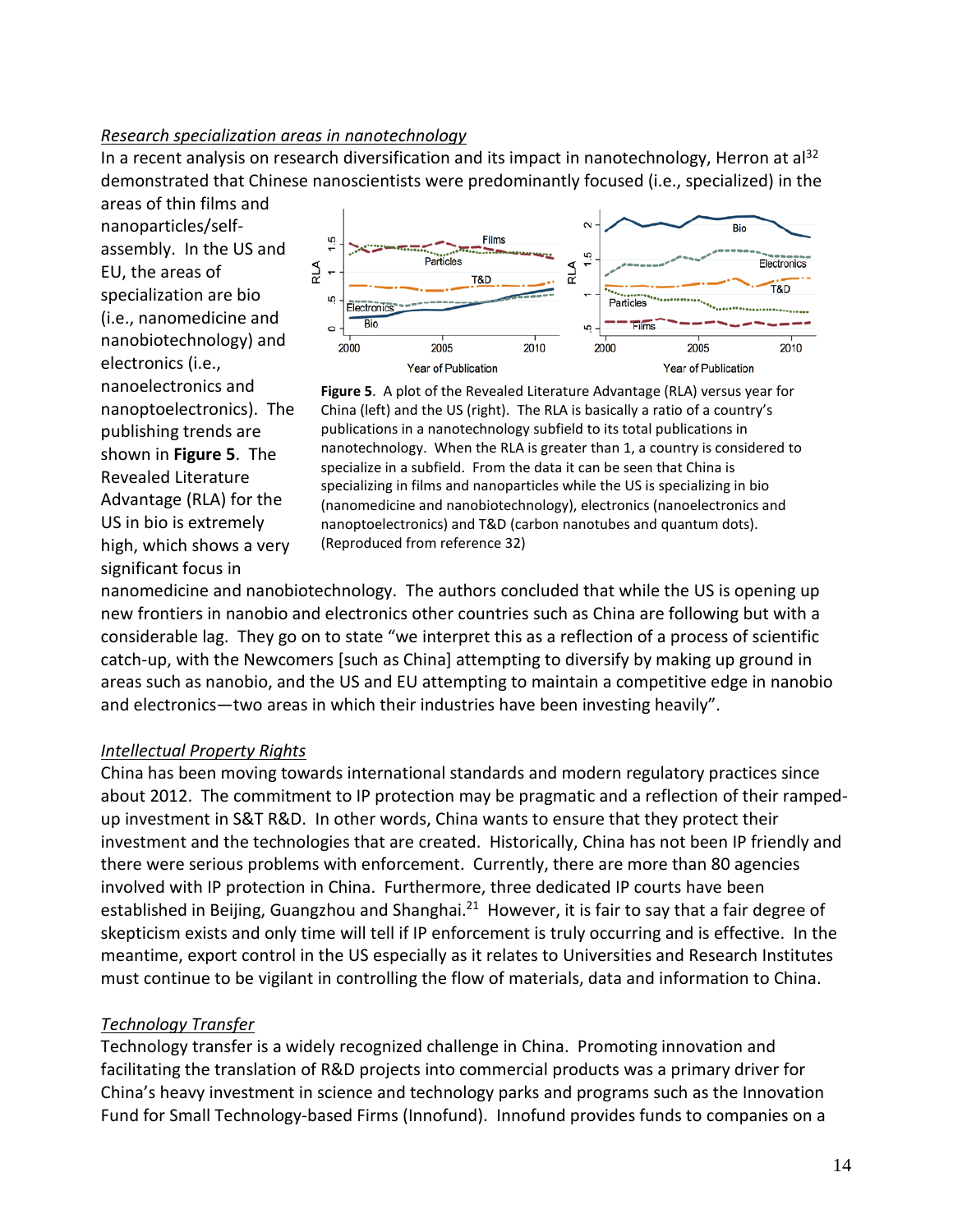#### *Research specialization areas in nanotechnology*

In a recent analysis on research diversification and its impact in nanotechnology, Herron at al<sup>32</sup> demonstrated that Chinese nanoscientists were predominantly focused (i.e., specialized) in the

areas of thin films and nanoparticles/selfassembly. In the US and EU, the areas of specialization are bio (i.e., nanomedicine and nanobiotechnology) and electronics (i.e., nanoelectronics and nanoptoelectronics). The publishing trends are shown in **Figure 5**. The Revealed Literature Advantage (RLA) for the US in bio is extremely high, which shows a very significant focus in





nanomedicine and nanobiotechnology. The authors concluded that while the US is opening up new frontiers in nanobio and electronics other countries such as China are following but with a considerable lag. They go on to state "we interpret this as a reflection of a process of scientific catch-up, with the Newcomers [such as China] attempting to diversify by making up ground in areas such as nanobio, and the US and EU attempting to maintain a competitive edge in nanobio and electronics—two areas in which their industries have been investing heavily".

### *Intellectual Property Rights*

China has been moving towards international standards and modern regulatory practices since about 2012. The commitment to IP protection may be pragmatic and a reflection of their rampedup investment in S&T R&D. In other words, China wants to ensure that they protect their investment and the technologies that are created. Historically, China has not been IP friendly and there were serious problems with enforcement. Currently, there are more than 80 agencies involved with IP protection in China. Furthermore, three dedicated IP courts have been established in Beijing, Guangzhou and Shanghai.<sup>21</sup> However, it is fair to say that a fair degree of skepticism exists and only time will tell if IP enforcement is truly occurring and is effective. In the meantime, export control in the US especially as it relates to Universities and Research Institutes must continue to be vigilant in controlling the flow of materials, data and information to China.

### *Technology Transfer*

Technology transfer is a widely recognized challenge in China. Promoting innovation and facilitating the translation of R&D projects into commercial products was a primary driver for China's heavy investment in science and technology parks and programs such as the Innovation Fund for Small Technology-based Firms (Innofund). Innofund provides funds to companies on a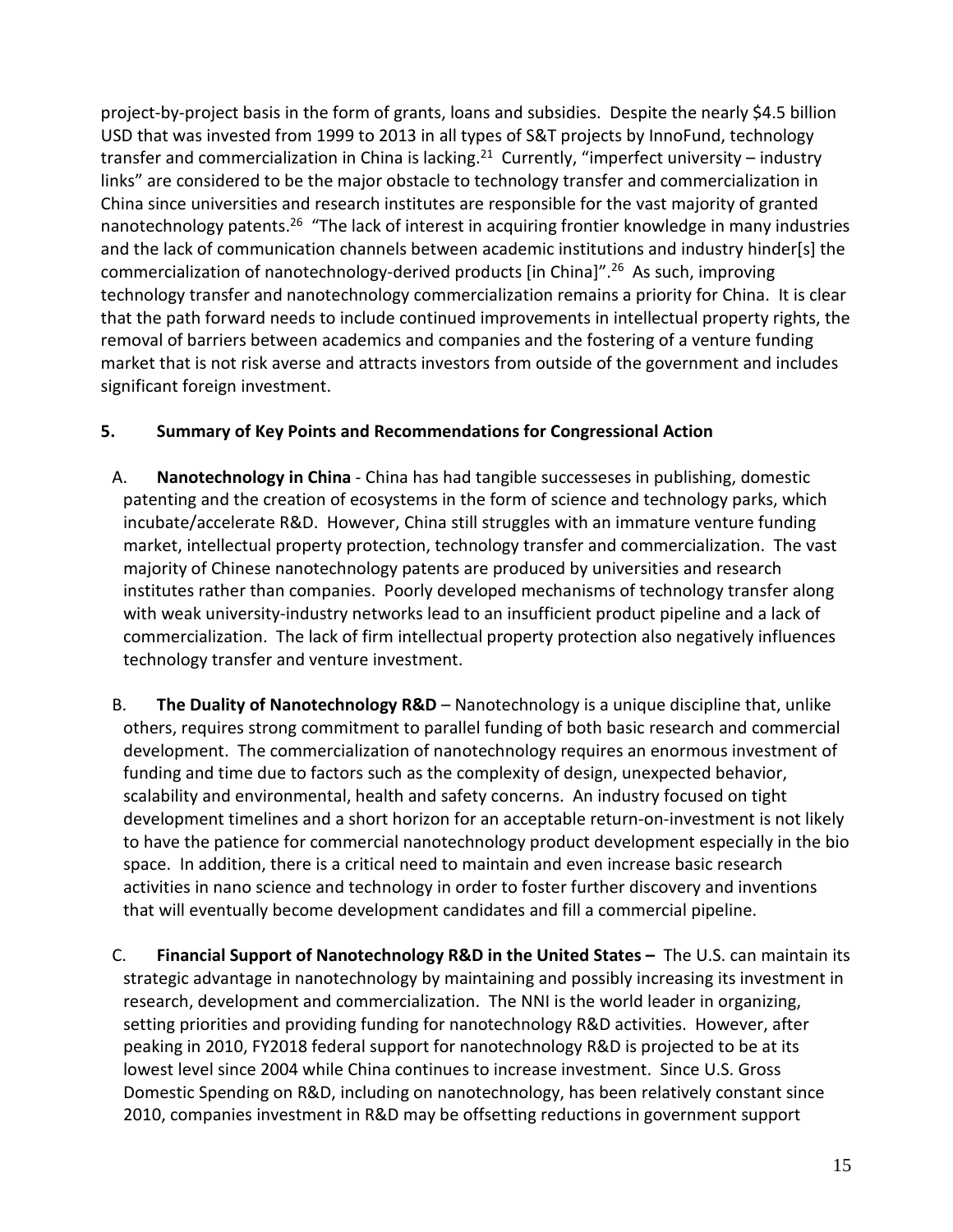project-by-project basis in the form of grants, loans and subsidies. Despite the nearly \$4.5 billion USD that was invested from 1999 to 2013 in all types of S&T projects by InnoFund, technology transfer and commercialization in China is lacking.<sup>21</sup> Currently, "imperfect university – industry links" are considered to be the major obstacle to technology transfer and commercialization in China since universities and research institutes are responsible for the vast majority of granted nanotechnology patents.<sup>26</sup> "The lack of interest in acquiring frontier knowledge in many industries and the lack of communication channels between academic institutions and industry hinder[s] the commercialization of nanotechnology-derived products [in China]".26 As such, improving technology transfer and nanotechnology commercialization remains a priority for China. It is clear that the path forward needs to include continued improvements in intellectual property rights, the removal of barriers between academics and companies and the fostering of a venture funding market that is not risk averse and attracts investors from outside of the government and includes significant foreign investment.

# **5. Summary of Key Points and Recommendations for Congressional Action**

- A. **Nanotechnology in China** China has had tangible successeses in publishing, domestic patenting and the creation of ecosystems in the form of science and technology parks, which incubate/accelerate R&D. However, China still struggles with an immature venture funding market, intellectual property protection, technology transfer and commercialization. The vast majority of Chinese nanotechnology patents are produced by universities and research institutes rather than companies. Poorly developed mechanisms of technology transfer along with weak university-industry networks lead to an insufficient product pipeline and a lack of commercialization. The lack of firm intellectual property protection also negatively influences technology transfer and venture investment.
- B. **The Duality of Nanotechnology R&D** Nanotechnology is a unique discipline that, unlike others, requires strong commitment to parallel funding of both basic research and commercial development. The commercialization of nanotechnology requires an enormous investment of funding and time due to factors such as the complexity of design, unexpected behavior, scalability and environmental, health and safety concerns. An industry focused on tight development timelines and a short horizon for an acceptable return-on-investment is not likely to have the patience for commercial nanotechnology product development especially in the bio space. In addition, there is a critical need to maintain and even increase basic research activities in nano science and technology in order to foster further discovery and inventions that will eventually become development candidates and fill a commercial pipeline.
- C. **Financial Support of Nanotechnology R&D in the United States –** The U.S. can maintain its strategic advantage in nanotechnology by maintaining and possibly increasing its investment in research, development and commercialization. The NNI is the world leader in organizing, setting priorities and providing funding for nanotechnology R&D activities. However, after peaking in 2010, FY2018 federal support for nanotechnology R&D is projected to be at its lowest level since 2004 while China continues to increase investment. Since U.S. Gross Domestic Spending on R&D, including on nanotechnology, has been relatively constant since 2010, companies investment in R&D may be offsetting reductions in government support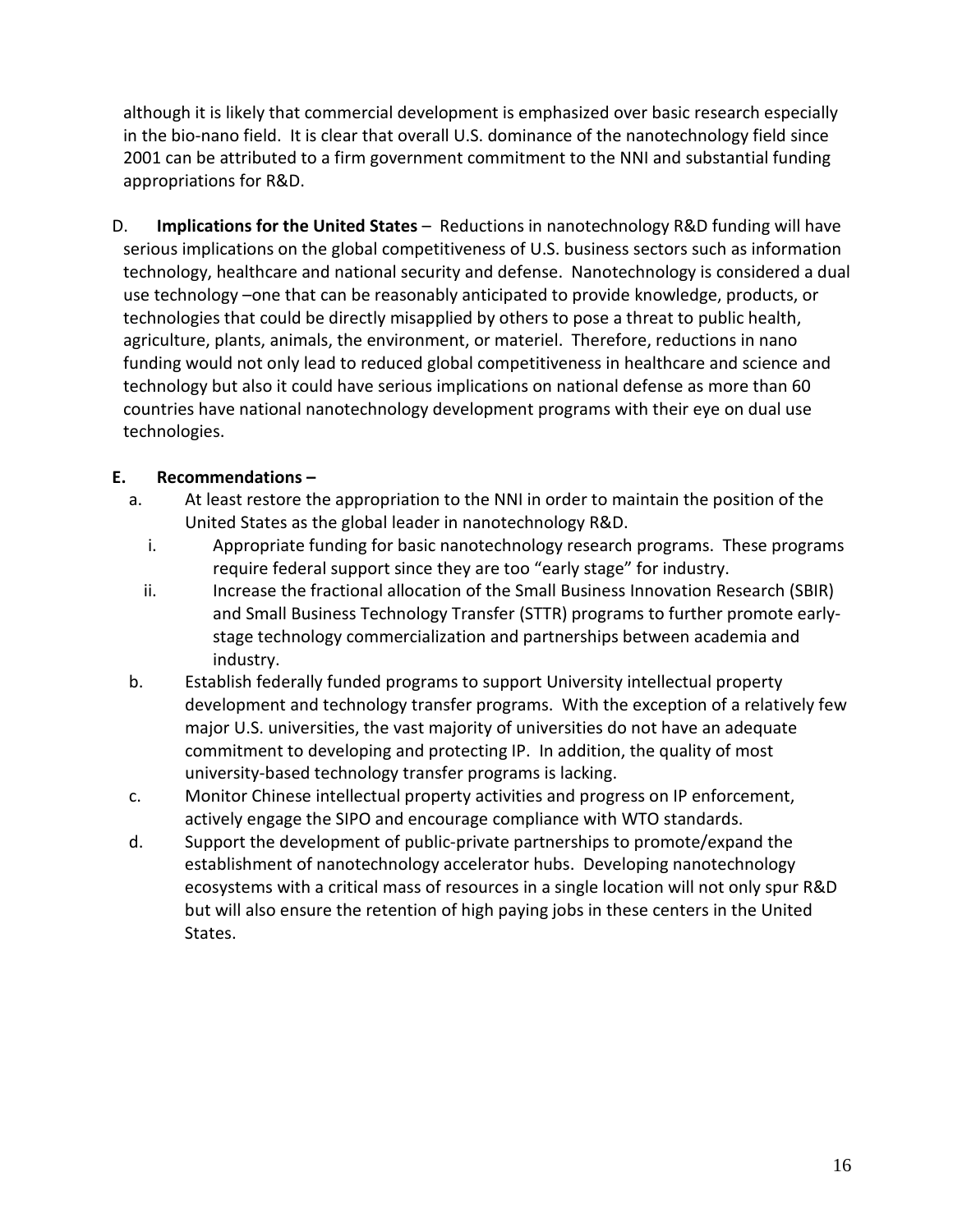although it is likely that commercial development is emphasized over basic research especially in the bio-nano field. It is clear that overall U.S. dominance of the nanotechnology field since 2001 can be attributed to a firm government commitment to the NNI and substantial funding appropriations for R&D.

D. **Implications for the United States** – Reductions in nanotechnology R&D funding will have serious implications on the global competitiveness of U.S. business sectors such as information technology, healthcare and national security and defense. Nanotechnology is considered a dual use technology –one that can be reasonably anticipated to provide knowledge, products, or technologies that could be directly misapplied by others to pose a threat to public health, agriculture, plants, animals, the environment, or materiel. Therefore, reductions in nano funding would not only lead to reduced global competitiveness in healthcare and science and technology but also it could have serious implications on national defense as more than 60 countries have national nanotechnology development programs with their eye on dual use technologies.

### **E. Recommendations –**

- a. At least restore the appropriation to the NNI in order to maintain the position of the United States as the global leader in nanotechnology R&D.
	- i. Appropriate funding for basic nanotechnology research programs. These programs require federal support since they are too "early stage" for industry.
	- ii. Increase the fractional allocation of the Small Business Innovation Research (SBIR) and Small Business Technology Transfer (STTR) programs to further promote earlystage technology commercialization and partnerships between academia and industry.
- b. Establish federally funded programs to support University intellectual property development and technology transfer programs. With the exception of a relatively few major U.S. universities, the vast majority of universities do not have an adequate commitment to developing and protecting IP. In addition, the quality of most university-based technology transfer programs is lacking.
- c. Monitor Chinese intellectual property activities and progress on IP enforcement, actively engage the SIPO and encourage compliance with WTO standards.
- d. Support the development of public-private partnerships to promote/expand the establishment of nanotechnology accelerator hubs. Developing nanotechnology ecosystems with a critical mass of resources in a single location will not only spur R&D but will also ensure the retention of high paying jobs in these centers in the United States.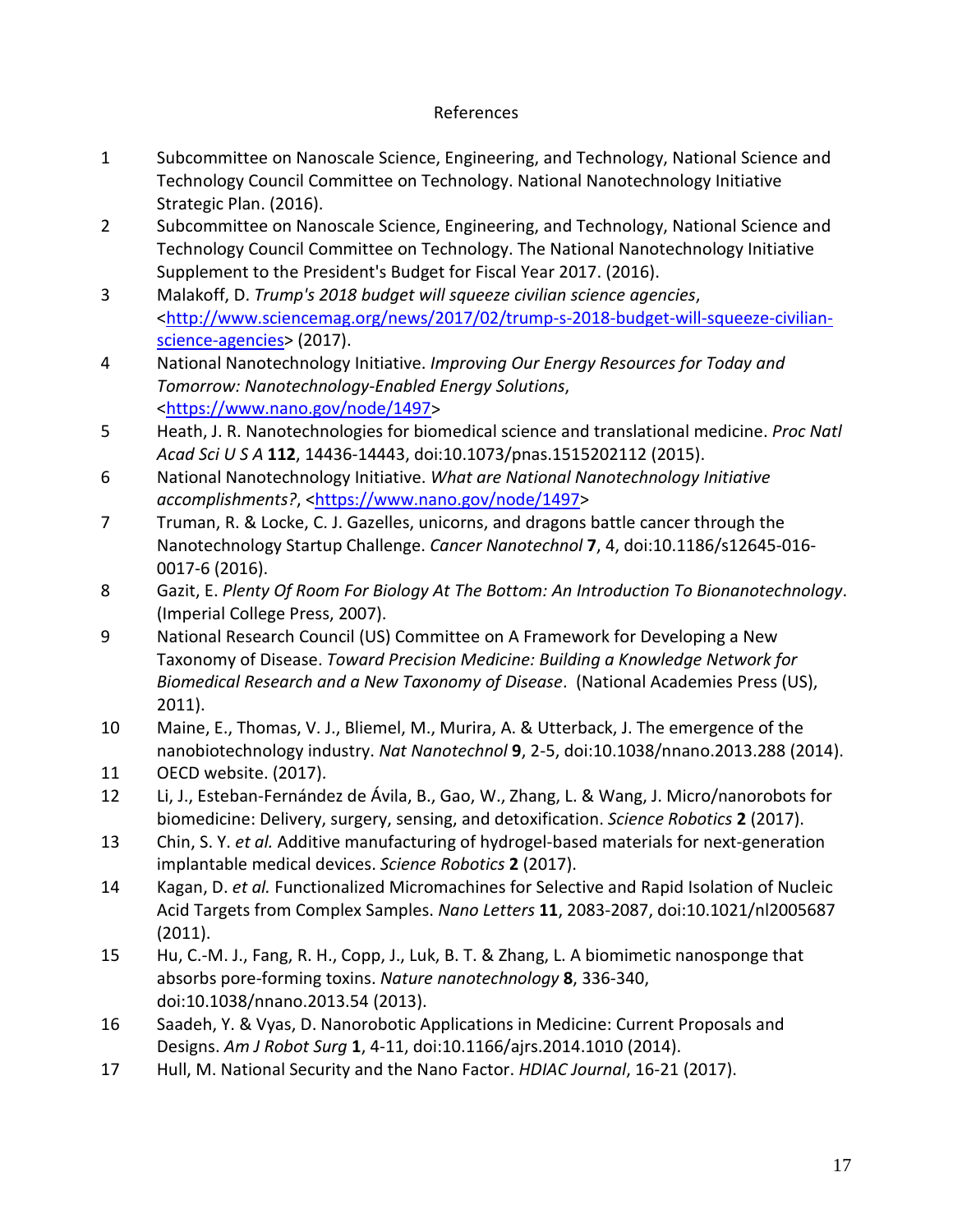#### References

- 1 Subcommittee on Nanoscale Science, Engineering, and Technology, National Science and Technology Council Committee on Technology. National Nanotechnology Initiative Strategic Plan. (2016).
- 2 Subcommittee on Nanoscale Science, Engineering, and Technology, National Science and Technology Council Committee on Technology. The National Nanotechnology Initiative Supplement to the President's Budget for Fiscal Year 2017. (2016).
- 3 Malakoff, D. *Trump's 2018 budget will squeeze civilian science agencies*, [<http://www.sciencemag.org/news/2017/02/trump-s-2018-budget-will-squeeze-civilian](http://www.sciencemag.org/news/2017/02/trump-s-2018-budget-will-squeeze-civilian-science-agencies)[science-agencies>](http://www.sciencemag.org/news/2017/02/trump-s-2018-budget-will-squeeze-civilian-science-agencies) (2017).
- 4 National Nanotechnology Initiative. *Improving Our Energy Resources for Today and Tomorrow: Nanotechnology-Enabled Energy Solutions*, [<https://www.nano.gov/node/1497>](https://www.nano.gov/node/1497)
- 5 Heath, J. R. Nanotechnologies for biomedical science and translational medicine. *Proc Natl Acad Sci U S A* **112**, 14436-14443, doi:10.1073/pnas.1515202112 (2015).
- 6 National Nanotechnology Initiative. *What are National Nanotechnology Initiative*  accomplishments?, [<https://www.nano.gov/node/1497>](https://www.nano.gov/node/1497)
- 7 Truman, R. & Locke, C. J. Gazelles, unicorns, and dragons battle cancer through the Nanotechnology Startup Challenge. *Cancer Nanotechnol* **7**, 4, doi:10.1186/s12645-016- 0017-6 (2016).
- 8 Gazit, E. *Plenty Of Room For Biology At The Bottom: An Introduction To Bionanotechnology*. (Imperial College Press, 2007).
- 9 National Research Council (US) Committee on A Framework for Developing a New Taxonomy of Disease. *Toward Precision Medicine: Building a Knowledge Network for Biomedical Research and a New Taxonomy of Disease*. (National Academies Press (US), 2011).
- 10 Maine, E., Thomas, V. J., Bliemel, M., Murira, A. & Utterback, J. The emergence of the nanobiotechnology industry. *Nat Nanotechnol* **9**, 2-5, doi:10.1038/nnano.2013.288 (2014).
- 11 OECD website. (2017).
- 12 Li, J., Esteban-Fernández de Ávila, B., Gao, W., Zhang, L. & Wang, J. Micro/nanorobots for biomedicine: Delivery, surgery, sensing, and detoxification. *Science Robotics* **2** (2017).
- 13 Chin, S. Y. *et al.* Additive manufacturing of hydrogel-based materials for next-generation implantable medical devices. *Science Robotics* **2** (2017).
- 14 Kagan, D. *et al.* Functionalized Micromachines for Selective and Rapid Isolation of Nucleic Acid Targets from Complex Samples. *Nano Letters* **11**, 2083-2087, doi:10.1021/nl2005687 (2011).
- 15 Hu, C.-M. J., Fang, R. H., Copp, J., Luk, B. T. & Zhang, L. A biomimetic nanosponge that absorbs pore-forming toxins. *Nature nanotechnology* **8**, 336-340, doi:10.1038/nnano.2013.54 (2013).
- 16 Saadeh, Y. & Vyas, D. Nanorobotic Applications in Medicine: Current Proposals and Designs. *Am J Robot Surg* **1**, 4-11, doi:10.1166/ajrs.2014.1010 (2014).
- 17 Hull, M. National Security and the Nano Factor. *HDIAC Journal*, 16-21 (2017).